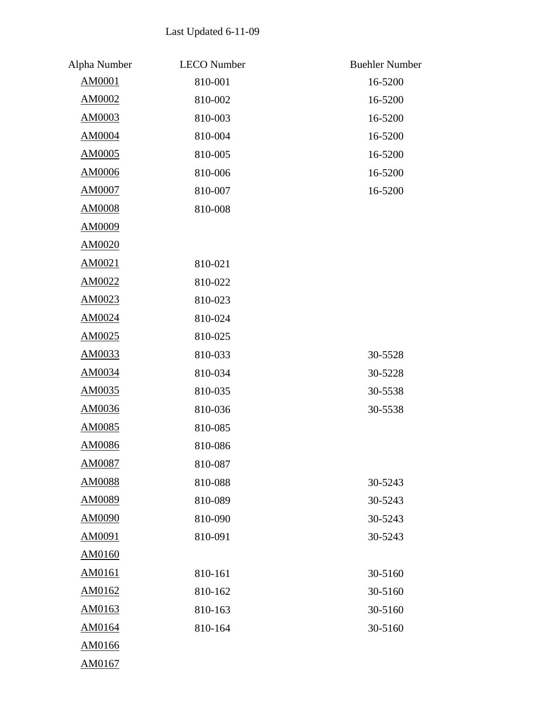## Last Updated 6-11-09

| Alpha Number  | <b>LECO</b> Number | <b>Buehler Number</b> |
|---------------|--------------------|-----------------------|
| AM0001        | 810-001            | 16-5200               |
| AM0002        | 810-002            | 16-5200               |
| AM0003        | 810-003            | 16-5200               |
| AM0004        | 810-004            | 16-5200               |
| <b>AM0005</b> | 810-005            | 16-5200               |
| AM0006        | 810-006            | 16-5200               |
| <b>AM0007</b> | 810-007            | 16-5200               |
| AM0008        | 810-008            |                       |
| AM0009        |                    |                       |
| <b>AM0020</b> |                    |                       |
| AM0021        | 810-021            |                       |
| AM0022        | 810-022            |                       |
| AM0023        | 810-023            |                       |
| AM0024        | 810-024            |                       |
| AM0025        | 810-025            |                       |
| AM0033        | 810-033            | 30-5528               |
| AM0034        | 810-034            | 30-5228               |
| AM0035        | 810-035            | 30-5538               |
| AM0036        | 810-036            | 30-5538               |
| AM0085        | 810-085            |                       |
| AM0086        | 810-086            |                       |
| <b>AM0087</b> | 810-087            |                       |
| <b>AM0088</b> | 810-088            | 30-5243               |
| AM0089        | 810-089            | 30-5243               |
| <b>AM0090</b> | 810-090            | 30-5243               |
| AM0091        | 810-091            | 30-5243               |
| AM0160        |                    |                       |
| AM0161        | 810-161            | 30-5160               |
| AM0162        | 810-162            | 30-5160               |
| AM0163        | 810-163            | 30-5160               |
| AM0164        | 810-164            | 30-5160               |
| AM0166        |                    |                       |
| AM0167        |                    |                       |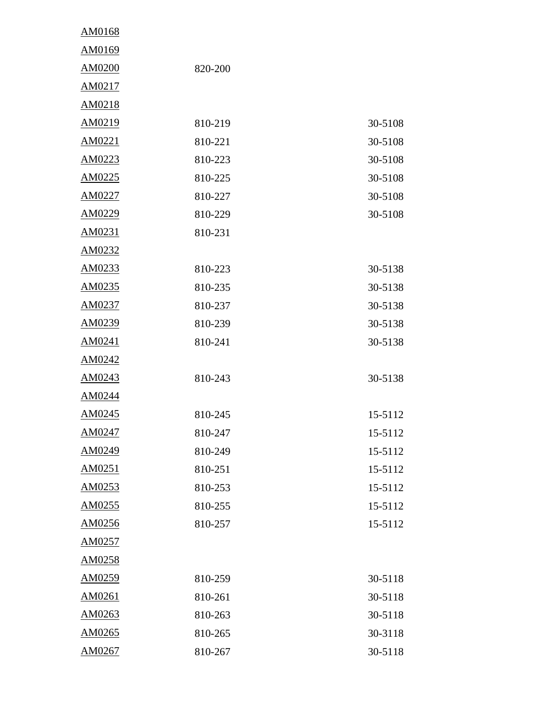| AM0168 |         |         |
|--------|---------|---------|
| AM0169 |         |         |
| AM0200 | 820-200 |         |
| AM0217 |         |         |
| AM0218 |         |         |
| AM0219 | 810-219 | 30-5108 |
| AM0221 | 810-221 | 30-5108 |
| AM0223 | 810-223 | 30-5108 |
| AM0225 | 810-225 | 30-5108 |
| AM0227 | 810-227 | 30-5108 |
| AM0229 | 810-229 | 30-5108 |
| AM0231 | 810-231 |         |
| AM0232 |         |         |
| AM0233 | 810-223 | 30-5138 |
| AM0235 | 810-235 | 30-5138 |
| AM0237 | 810-237 | 30-5138 |
| AM0239 | 810-239 | 30-5138 |
| AM0241 | 810-241 | 30-5138 |
| AM0242 |         |         |
| AM0243 | 810-243 | 30-5138 |
| AM0244 |         |         |
| AM0245 | 810-245 | 15-5112 |
| AM0247 | 810-247 | 15-5112 |
| AM0249 | 810-249 | 15-5112 |
| AM0251 | 810-251 | 15-5112 |
| AM0253 | 810-253 | 15-5112 |
| AM0255 | 810-255 | 15-5112 |
| AM0256 | 810-257 | 15-5112 |
| AM0257 |         |         |
| AM0258 |         |         |
| AM0259 | 810-259 | 30-5118 |
| AM0261 | 810-261 | 30-5118 |
| AM0263 | 810-263 | 30-5118 |
| AM0265 | 810-265 | 30-3118 |
| AM0267 | 810-267 | 30-5118 |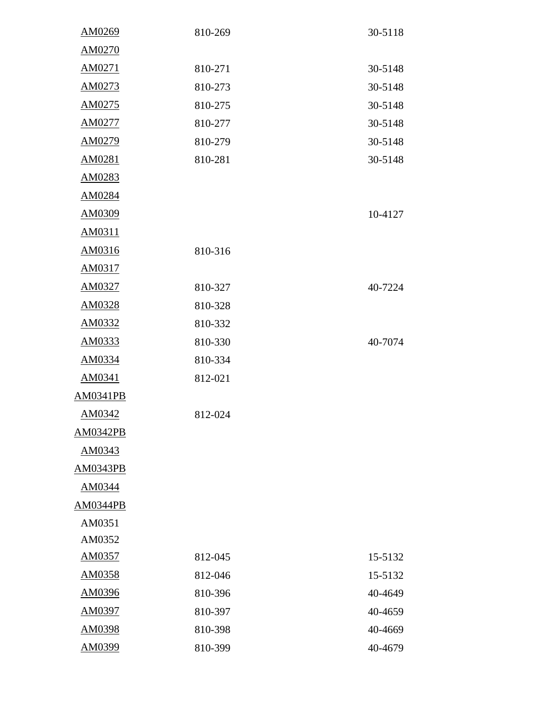| AM0269          | 810-269 | 30-5118 |
|-----------------|---------|---------|
| AM0270          |         |         |
| AM0271          | 810-271 | 30-5148 |
| AM0273          | 810-273 | 30-5148 |
| AM0275          | 810-275 | 30-5148 |
| AM0277          | 810-277 | 30-5148 |
| AM0279          | 810-279 | 30-5148 |
| AM0281          | 810-281 | 30-5148 |
| AM0283          |         |         |
| AM0284          |         |         |
| AM0309          |         | 10-4127 |
| AM0311          |         |         |
| AM0316          | 810-316 |         |
| AM0317          |         |         |
| AM0327          | 810-327 | 40-7224 |
| AM0328          | 810-328 |         |
| AM0332          | 810-332 |         |
| AM0333          | 810-330 | 40-7074 |
| AM0334          | 810-334 |         |
| AM0341          | 812-021 |         |
| <b>AM0341PB</b> |         |         |
| AM0342          | 812-024 |         |
| AM0342PB        |         |         |
| AM0343          |         |         |
| <b>AM0343PB</b> |         |         |
| AM0344          |         |         |
| AM0344PB        |         |         |
| AM0351          |         |         |
| AM0352          |         |         |
| AM0357          | 812-045 | 15-5132 |
| AM0358          | 812-046 | 15-5132 |
| AM0396          | 810-396 | 40-4649 |
| AM0397          | 810-397 | 40-4659 |
| AM0398          | 810-398 | 40-4669 |
| AM0399          | 810-399 | 40-4679 |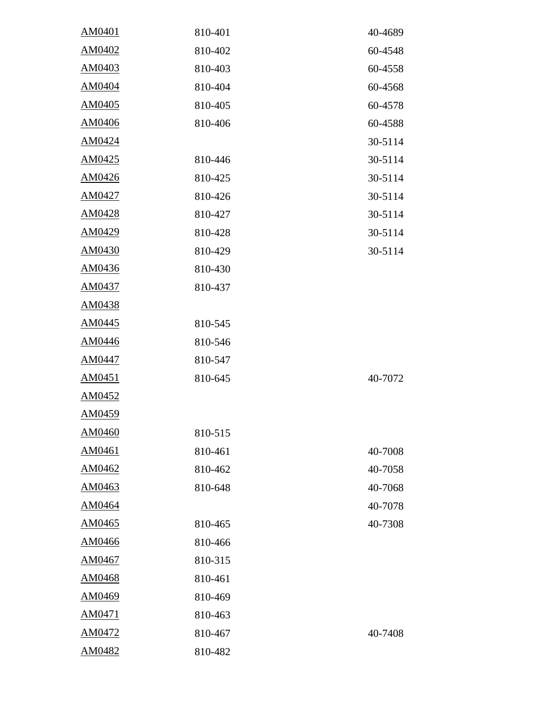| AM0401        | 810-401 | 40-4689 |
|---------------|---------|---------|
| AM0402        | 810-402 | 60-4548 |
| AM0403        | 810-403 | 60-4558 |
| AM0404        | 810-404 | 60-4568 |
| AM0405        | 810-405 | 60-4578 |
| AM0406        | 810-406 | 60-4588 |
| AM0424        |         | 30-5114 |
| AM0425        | 810-446 | 30-5114 |
| AM0426        | 810-425 | 30-5114 |
| AM0427        | 810-426 | 30-5114 |
| AM0428        | 810-427 | 30-5114 |
| AM0429        | 810-428 | 30-5114 |
| AM0430        | 810-429 | 30-5114 |
| AM0436        | 810-430 |         |
| AM0437        | 810-437 |         |
| AM0438        |         |         |
| AM0445        | 810-545 |         |
| AM0446        | 810-546 |         |
| AM0447        | 810-547 |         |
| AM0451        | 810-645 | 40-7072 |
| AM0452        |         |         |
| AM0459        |         |         |
| <u>AM0460</u> | 810-515 |         |
| AM0461        | 810-461 | 40-7008 |
| AM0462        | 810-462 | 40-7058 |
| AM0463        | 810-648 | 40-7068 |
| AM0464        |         | 40-7078 |
| AM0465        | 810-465 | 40-7308 |
| AM0466        | 810-466 |         |
| AM0467        | 810-315 |         |
| AM0468        | 810-461 |         |
| AM0469        | 810-469 |         |
| AM0471        | 810-463 |         |
| AM0472        | 810-467 | 40-7408 |
| AM0482        | 810-482 |         |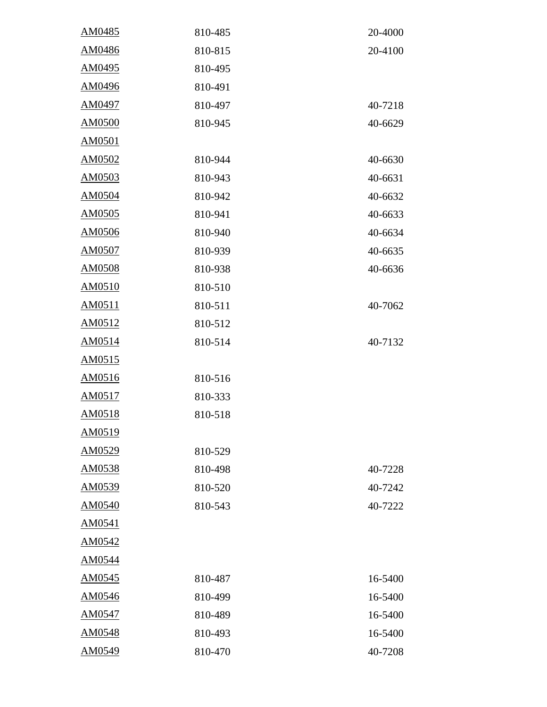| AM0485        | 810-485 | 20-4000 |
|---------------|---------|---------|
| AM0486        | 810-815 | 20-4100 |
| AM0495        | 810-495 |         |
| AM0496        | 810-491 |         |
| AM0497        | 810-497 | 40-7218 |
| <b>AM0500</b> | 810-945 | 40-6629 |
| AM0501        |         |         |
| AM0502        | 810-944 | 40-6630 |
| AM0503        | 810-943 | 40-6631 |
| AM0504        | 810-942 | 40-6632 |
| AM0505        | 810-941 | 40-6633 |
| AM0506        | 810-940 | 40-6634 |
| AM0507        | 810-939 | 40-6635 |
| AM0508        | 810-938 | 40-6636 |
| AM0510        | 810-510 |         |
| AM0511        | 810-511 | 40-7062 |
| AM0512        | 810-512 |         |
| AM0514        | 810-514 | 40-7132 |
| AM0515        |         |         |
| AM0516        | 810-516 |         |
| AM0517        | 810-333 |         |
| AM0518        | 810-518 |         |
| AM0519        |         |         |
| AM0529        | 810-529 |         |
| AM0538        | 810-498 | 40-7228 |
| AM0539        | 810-520 | 40-7242 |
| AM0540        | 810-543 | 40-7222 |
| AM0541        |         |         |
| AM0542        |         |         |
| AM0544        |         |         |
| AM0545        | 810-487 | 16-5400 |
| AM0546        | 810-499 | 16-5400 |
| AM0547        | 810-489 | 16-5400 |
| AM0548        | 810-493 | 16-5400 |
| AM0549        | 810-470 | 40-7208 |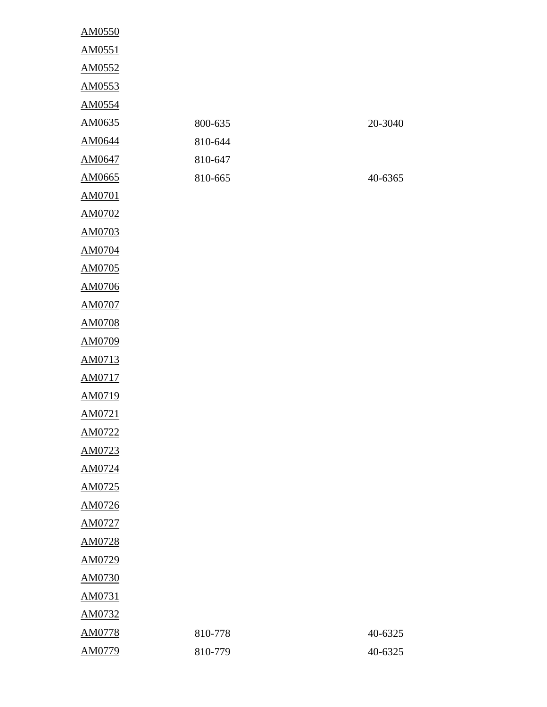| AM0550 |         |         |
|--------|---------|---------|
| AM0551 |         |         |
| AM0552 |         |         |
| AM0553 |         |         |
| AM0554 |         |         |
| AM0635 | 800-635 | 20-3040 |
| AM0644 | 810-644 |         |
| AM0647 | 810-647 |         |
| AM0665 | 810-665 | 40-6365 |
| AM0701 |         |         |
| AM0702 |         |         |
| AM0703 |         |         |
| AM0704 |         |         |
| AM0705 |         |         |
| AM0706 |         |         |
| AM0707 |         |         |
| AM0708 |         |         |
| AM0709 |         |         |
| AM0713 |         |         |
| AM0717 |         |         |
| AM0719 |         |         |
| AM0721 |         |         |
| AM0722 |         |         |
| AM0723 |         |         |
| AM0724 |         |         |
| AM0725 |         |         |
| AM0726 |         |         |
| AM0727 |         |         |
| AM0728 |         |         |
| AM0729 |         |         |
| AM0730 |         |         |
| AM0731 |         |         |
| AM0732 |         |         |
| AM0778 | 810-778 | 40-6325 |
| AM0779 | 810-779 | 40-6325 |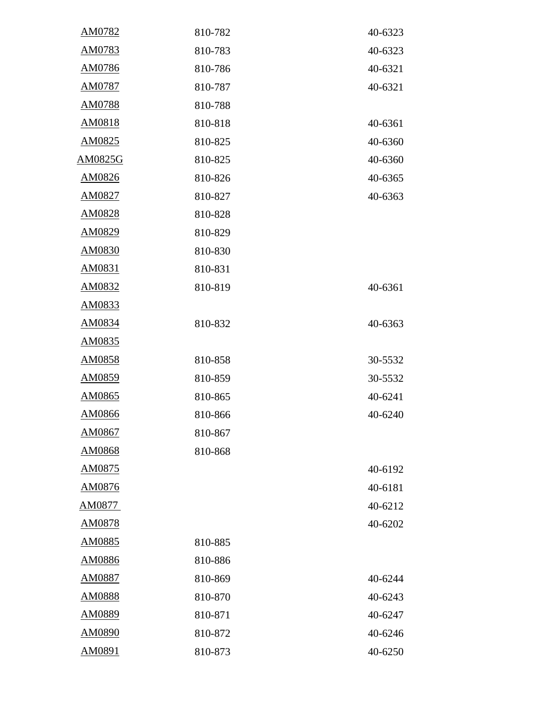| AM0782         | 810-782 | 40-6323 |
|----------------|---------|---------|
| AM0783         | 810-783 | 40-6323 |
| AM0786         | 810-786 | 40-6321 |
| AM0787         | 810-787 | 40-6321 |
| AM0788         | 810-788 |         |
| AM0818         | 810-818 | 40-6361 |
| AM0825         | 810-825 | 40-6360 |
| <b>AM0825G</b> | 810-825 | 40-6360 |
| AM0826         | 810-826 | 40-6365 |
| AM0827         | 810-827 | 40-6363 |
| AM0828         | 810-828 |         |
| AM0829         | 810-829 |         |
| AM0830         | 810-830 |         |
| AM0831         | 810-831 |         |
| AM0832         | 810-819 | 40-6361 |
| AM0833         |         |         |
| AM0834         | 810-832 | 40-6363 |
| AM0835         |         |         |
| AM0858         | 810-858 | 30-5532 |
| AM0859         | 810-859 | 30-5532 |
| AM0865         | 810-865 | 40-6241 |
| AM0866         | 810-866 | 40-6240 |
| AM0867         | 810-867 |         |
| AM0868         | 810-868 |         |
| AM0875         |         | 40-6192 |
| AM0876         |         | 40-6181 |
| AM0877         |         | 40-6212 |
| AM0878         |         | 40-6202 |
| AM0885         | 810-885 |         |
| AM0886         | 810-886 |         |
| AM0887         | 810-869 | 40-6244 |
| AM0888         | 810-870 | 40-6243 |
| AM0889         | 810-871 | 40-6247 |
| AM0890         | 810-872 | 40-6246 |
| AM0891         | 810-873 | 40-6250 |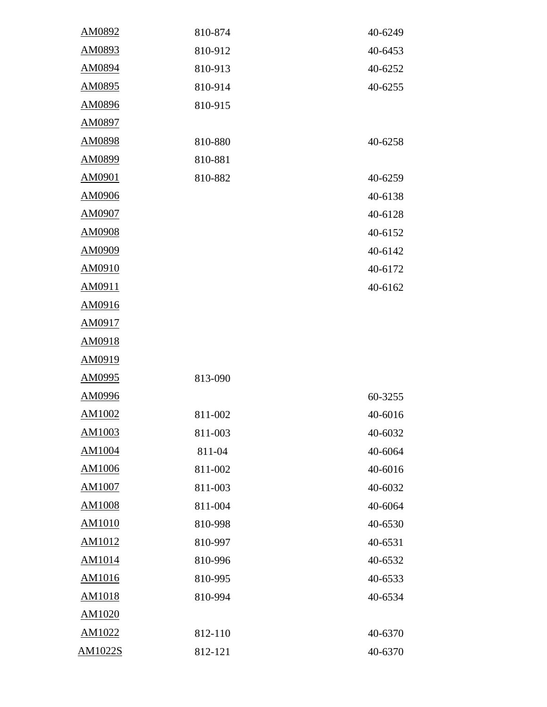| AM0892        | 810-874 | 40-6249 |
|---------------|---------|---------|
| AM0893        | 810-912 | 40-6453 |
| AM0894        | 810-913 | 40-6252 |
| AM0895        | 810-914 | 40-6255 |
| AM0896        | 810-915 |         |
| AM0897        |         |         |
| AM0898        | 810-880 | 40-6258 |
| AM0899        | 810-881 |         |
| AM0901        | 810-882 | 40-6259 |
| AM0906        |         | 40-6138 |
| AM0907        |         | 40-6128 |
| AM0908        |         | 40-6152 |
| AM0909        |         | 40-6142 |
| AM0910        |         | 40-6172 |
| AM0911        |         | 40-6162 |
| AM0916        |         |         |
| AM0917        |         |         |
| AM0918        |         |         |
| AM0919        |         |         |
| AM0995        | 813-090 |         |
| AM0996        |         | 60-3255 |
| AM1002        | 811-002 | 40-6016 |
| <u>AM1003</u> | 811-003 | 40-6032 |
| AM1004        | 811-04  | 40-6064 |
| AM1006        | 811-002 | 40-6016 |
| <b>AM1007</b> | 811-003 | 40-6032 |
| <b>AM1008</b> | 811-004 | 40-6064 |
| AM1010        | 810-998 | 40-6530 |
| AM1012        | 810-997 | 40-6531 |
| AM1014        | 810-996 | 40-6532 |
| AM1016        | 810-995 | 40-6533 |
| AM1018        | 810-994 | 40-6534 |
| AM1020        |         |         |
| AM1022        | 812-110 | 40-6370 |
| AM1022S       | 812-121 | 40-6370 |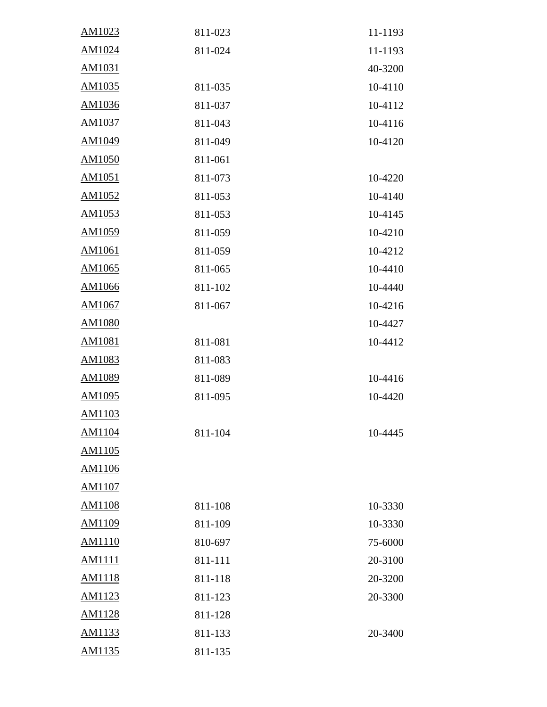| AM1023        | 811-023 | 11-1193 |
|---------------|---------|---------|
| AM1024        | 811-024 | 11-1193 |
| AM1031        |         | 40-3200 |
| AM1035        | 811-035 | 10-4110 |
| AM1036        | 811-037 | 10-4112 |
| AM1037        | 811-043 | 10-4116 |
| AM1049        | 811-049 | 10-4120 |
| AM1050        | 811-061 |         |
| AM1051        | 811-073 | 10-4220 |
| AM1052        | 811-053 | 10-4140 |
| AM1053        | 811-053 | 10-4145 |
| AM1059        | 811-059 | 10-4210 |
| AM1061        | 811-059 | 10-4212 |
| AM1065        | 811-065 | 10-4410 |
| AM1066        | 811-102 | 10-4440 |
| AM1067        | 811-067 | 10-4216 |
| AM1080        |         | 10-4427 |
| AM1081        | 811-081 | 10-4412 |
| AM1083        | 811-083 |         |
| AM1089        | 811-089 | 10-4416 |
| AM1095        | 811-095 | 10-4420 |
| AM1103        |         |         |
| AM1104        | 811-104 | 10-4445 |
| AM1105        |         |         |
| AM1106        |         |         |
| AM1107        |         |         |
| <b>AM1108</b> | 811-108 | 10-3330 |
| AM1109        | 811-109 | 10-3330 |
| AM1110        | 810-697 | 75-6000 |
| <b>AM1111</b> | 811-111 | 20-3100 |
| AM1118        | 811-118 | 20-3200 |
| AM1123        | 811-123 | 20-3300 |
| AM1128        | 811-128 |         |
| AM1133        | 811-133 | 20-3400 |
| AM1135        | 811-135 |         |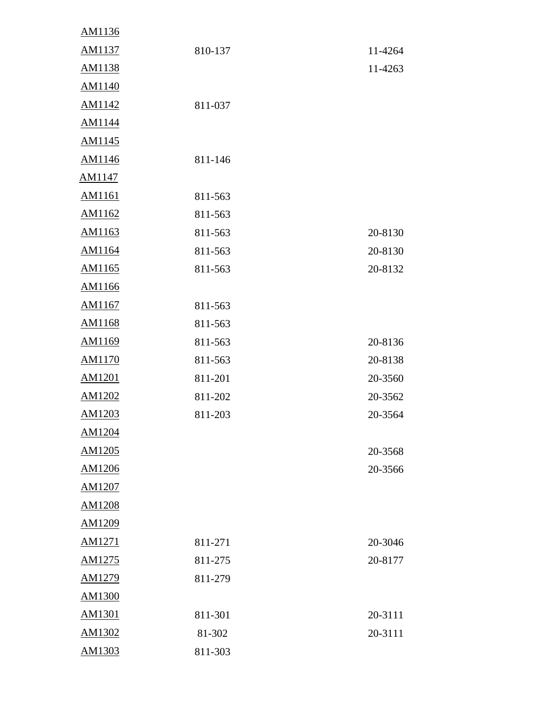| AM1136        |         |         |
|---------------|---------|---------|
| AM1137        | 810-137 | 11-4264 |
| AM1138        |         | 11-4263 |
| AM1140        |         |         |
| AM1142        | 811-037 |         |
| AM1144        |         |         |
| AM1145        |         |         |
| AM1146        | 811-146 |         |
| AM1147        |         |         |
| AM1161        | 811-563 |         |
| AM1162        | 811-563 |         |
| AM1163        | 811-563 | 20-8130 |
| AM1164        | 811-563 | 20-8130 |
| AM1165        | 811-563 | 20-8132 |
| AM1166        |         |         |
| AM1167        | 811-563 |         |
| AM1168        | 811-563 |         |
| AM1169        | 811-563 | 20-8136 |
| AM1170        | 811-563 | 20-8138 |
| <b>AM1201</b> | 811-201 | 20-3560 |
| AM1202        | 811-202 | 20-3562 |
| AM1203        | 811-203 | 20-3564 |
| AM1204        |         |         |
| AM1205        |         | 20-3568 |
| AM1206        |         | 20-3566 |
| AM1207        |         |         |
| AM1208        |         |         |
| AM1209        |         |         |
| AM1271        | 811-271 | 20-3046 |
| AM1275        | 811-275 | 20-8177 |
| AM1279        | 811-279 |         |
| AM1300        |         |         |
| AM1301        | 811-301 | 20-3111 |
| AM1302        | 81-302  | 20-3111 |
| AM1303        | 811-303 |         |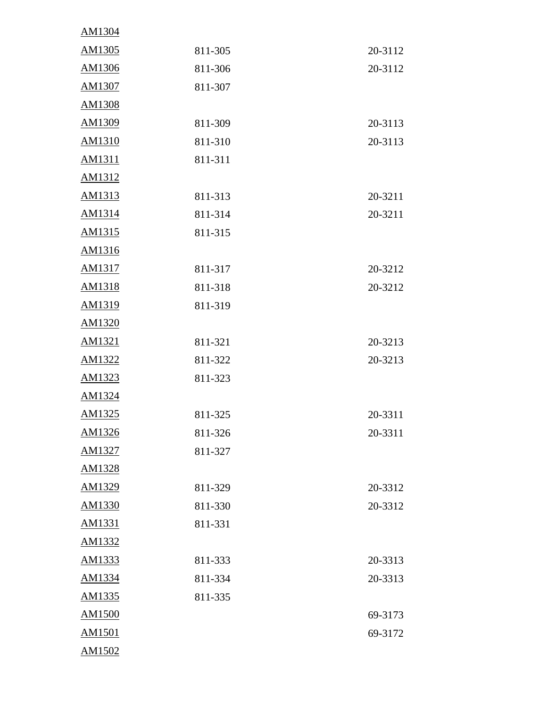| AM1304 |         |         |
|--------|---------|---------|
| AM1305 | 811-305 | 20-3112 |
| AM1306 | 811-306 | 20-3112 |
| AM1307 | 811-307 |         |
| AM1308 |         |         |
| AM1309 | 811-309 | 20-3113 |
| AM1310 | 811-310 | 20-3113 |
| AM1311 | 811-311 |         |
| AM1312 |         |         |
| AM1313 | 811-313 | 20-3211 |
| AM1314 | 811-314 | 20-3211 |
| AM1315 | 811-315 |         |
| AM1316 |         |         |
| AM1317 | 811-317 | 20-3212 |
| AM1318 | 811-318 | 20-3212 |
| AM1319 | 811-319 |         |
| AM1320 |         |         |
| AM1321 | 811-321 | 20-3213 |
| AM1322 | 811-322 | 20-3213 |
| AM1323 | 811-323 |         |
| AM1324 |         |         |
| AM1325 | 811-325 | 20-3311 |
| AM1326 | 811-326 | 20-3311 |
| AM1327 | 811-327 |         |
| AM1328 |         |         |
| AM1329 | 811-329 | 20-3312 |
| AM1330 | 811-330 | 20-3312 |
| AM1331 | 811-331 |         |
| AM1332 |         |         |
| AM1333 | 811-333 | 20-3313 |
| AM1334 | 811-334 | 20-3313 |
| AM1335 | 811-335 |         |
| AM1500 |         | 69-3173 |
| AM1501 |         | 69-3172 |
| AM1502 |         |         |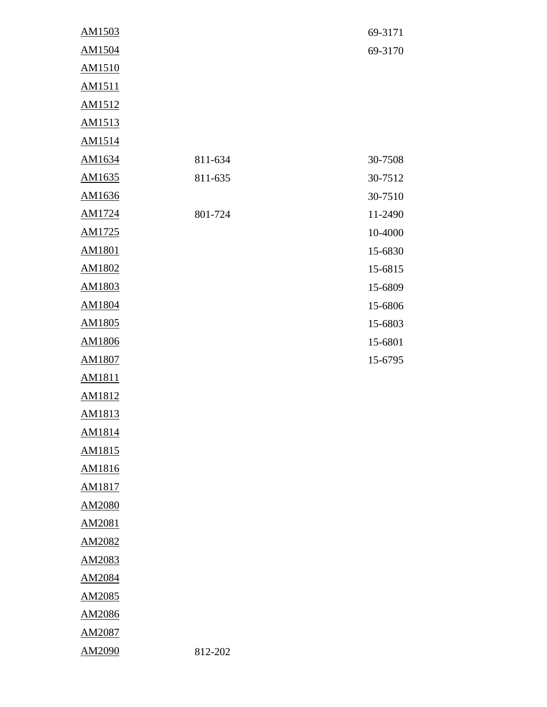| AM1503 |         | 69-3171 |
|--------|---------|---------|
| AM1504 |         | 69-3170 |
| AM1510 |         |         |
| AM1511 |         |         |
| AM1512 |         |         |
| AM1513 |         |         |
| AM1514 |         |         |
| AM1634 | 811-634 | 30-7508 |
| AM1635 | 811-635 | 30-7512 |
| AM1636 |         | 30-7510 |
| AM1724 | 801-724 | 11-2490 |
| AM1725 |         | 10-4000 |
| AM1801 |         | 15-6830 |
| AM1802 |         | 15-6815 |
| AM1803 |         | 15-6809 |
| AM1804 |         | 15-6806 |
| AM1805 |         | 15-6803 |
| AM1806 |         | 15-6801 |
| AM1807 |         | 15-6795 |
| AM1811 |         |         |
| AM1812 |         |         |
| AM1813 |         |         |
| AM1814 |         |         |
| AM1815 |         |         |
| AM1816 |         |         |
| AM1817 |         |         |
| AM2080 |         |         |
| AM2081 |         |         |
| AM2082 |         |         |
| AM2083 |         |         |
| AM2084 |         |         |
| AM2085 |         |         |
| AM2086 |         |         |
| AM2087 |         |         |
| AM2090 | 812-202 |         |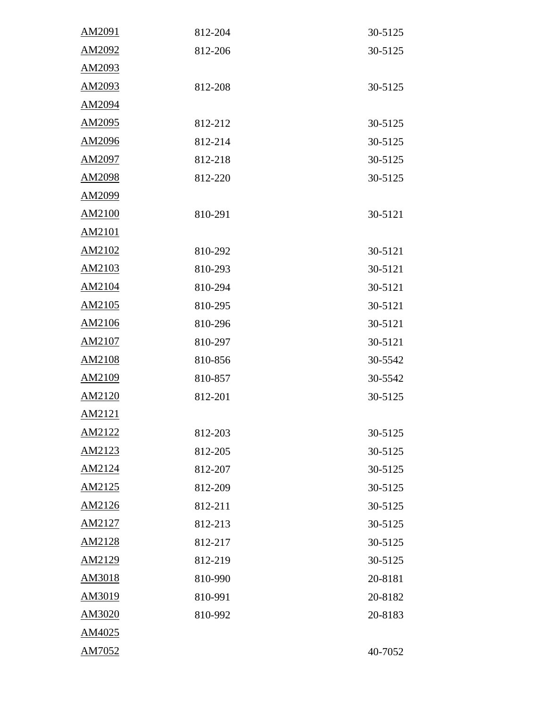| AM2091 | 812-204 | 30-5125 |
|--------|---------|---------|
| AM2092 | 812-206 | 30-5125 |
| AM2093 |         |         |
| AM2093 | 812-208 | 30-5125 |
| AM2094 |         |         |
| AM2095 | 812-212 | 30-5125 |
| AM2096 | 812-214 | 30-5125 |
| AM2097 | 812-218 | 30-5125 |
| AM2098 | 812-220 | 30-5125 |
| AM2099 |         |         |
| AM2100 | 810-291 | 30-5121 |
| AM2101 |         |         |
| AM2102 | 810-292 | 30-5121 |
| AM2103 | 810-293 | 30-5121 |
| AM2104 | 810-294 | 30-5121 |
| AM2105 | 810-295 | 30-5121 |
| AM2106 | 810-296 | 30-5121 |
| AM2107 | 810-297 | 30-5121 |
| AM2108 | 810-856 | 30-5542 |
| AM2109 | 810-857 | 30-5542 |
| AM2120 | 812-201 | 30-5125 |
| AM2121 |         |         |
| AM2122 | 812-203 | 30-5125 |
| AM2123 | 812-205 | 30-5125 |
| AM2124 | 812-207 | 30-5125 |
| AM2125 | 812-209 | 30-5125 |
| AM2126 | 812-211 | 30-5125 |
| AM2127 | 812-213 | 30-5125 |
| AM2128 | 812-217 | 30-5125 |
| AM2129 | 812-219 | 30-5125 |
| AM3018 | 810-990 | 20-8181 |
| AM3019 | 810-991 | 20-8182 |
| AM3020 | 810-992 | 20-8183 |
| AM4025 |         |         |
| AM7052 |         | 40-7052 |